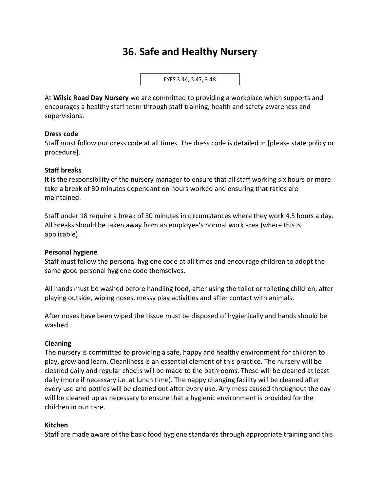# **36. Safe and Healthy Nursery**

EYFS 3.44, 3.47, 3.48

At **Wilsic Road Day Nursery** we are committed to providing a workplace which supports and encourages a healthy staff team through staff training, health and safety awareness and supervisions.

#### **Dress code**

Staff must follow our dress code at all times. The dress code is detailed in [please state policy or procedure].

#### **Staff breaks**

It is the responsibility of the nursery manager to ensure that all staff working six hours or more take a break of 30 minutes dependant on hours worked and ensuring that ratios are maintained.

Staff under 18 require a break of 30 minutes in circumstances where they work 4.5 hours a day. All breaks should be taken away from an employee's normal work area (where this is applicable).

#### **Personal hygiene**

Staff must follow the personal hygiene code at all times and encourage children to adopt the same good personal hygiene code themselves.

All hands must be washed before handling food, after using the toilet or toileting children, after playing outside, wiping noses, messy play activities and after contact with animals.

After noses have been wiped the tissue must be disposed of hygienically and hands should be washed.

#### **Cleaning**

The nursery is committed to providing a safe, happy and healthy environment for children to play, grow and learn. Cleanliness is an essential element of this practice. The nursery will be cleaned daily and regular checks will be made to the bathrooms. These will be cleaned at least daily (more if necessary i.e. at lunch time). The nappy changing facility will be cleaned after every use and potties will be cleaned out after every use. Any mess caused throughout the day will be cleaned up as necessary to ensure that a hygienic environment is provided for the children in our care.

## **Kitchen**

Staff are made aware of the basic food hygiene standards through appropriate training and this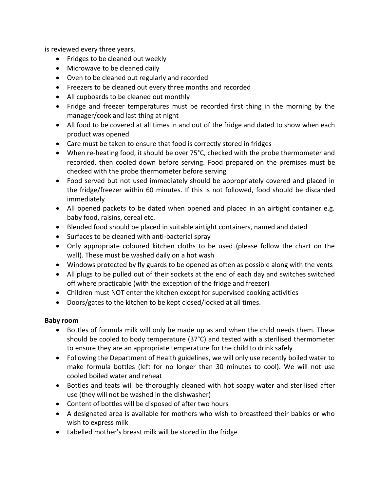is reviewed every three years.

- Fridges to be cleaned out weekly
- Microwave to be cleaned daily
- Oven to be cleaned out regularly and recorded
- Freezers to be cleaned out every three months and recorded
- All cupboards to be cleaned out monthly
- Fridge and freezer temperatures must be recorded first thing in the morning by the manager/cook and last thing at night
- All food to be covered at all times in and out of the fridge and dated to show when each product was opened
- Care must be taken to ensure that food is correctly stored in fridges
- When re-heating food, it should be over 75°C, checked with the probe thermometer and recorded, then cooled down before serving. Food prepared on the premises must be checked with the probe thermometer before serving
- Food served but not used immediately should be appropriately covered and placed in the fridge/freezer within 60 minutes. If this is not followed, food should be discarded immediately
- All opened packets to be dated when opened and placed in an airtight container e.g. baby food, raisins, cereal etc.
- Blended food should be placed in suitable airtight containers, named and dated
- Surfaces to be cleaned with anti-bacterial spray
- Only appropriate coloured kitchen cloths to be used (please follow the chart on the wall). These must be washed daily on a hot wash
- Windows protected by fly guards to be opened as often as possible along with the vents
- All plugs to be pulled out of their sockets at the end of each day and switches switched off where practicable (with the exception of the fridge and freezer)
- Children must NOT enter the kitchen except for supervised cooking activities
- Doors/gates to the kitchen to be kept closed/locked at all times.

## **Baby room**

- Bottles of formula milk will only be made up as and when the child needs them. These should be cooled to body temperature (37°C) and tested with a sterilised thermometer to ensure they are an appropriate temperature for the child to drink safely
- Following the Department of Health guidelines, we will only use recently boiled water to make formula bottles (left for no longer than 30 minutes to cool). We will not use cooled boiled water and reheat
- Bottles and teats will be thoroughly cleaned with hot soapy water and sterilised after use (they will not be washed in the dishwasher)
- Content of bottles will be disposed of after two hours
- A designated area is available for mothers who wish to breastfeed their babies or who wish to express milk
- Labelled mother's breast milk will be stored in the fridge